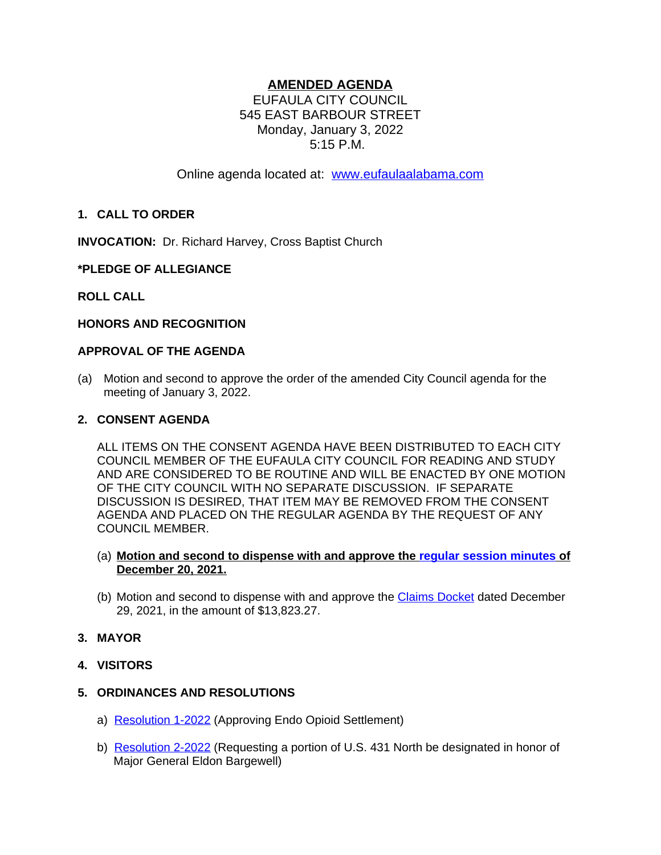# **AMENDED AGENDA**

EUFAULA CITY COUNCIL 545 EAST BARBOUR STREET Monday, January 3, 2022 5:15 P.M.

Online agenda located at: [www.eufaulaalabama.com](http://www.eufaulaalabama.com)

## **1. CALL TO ORDER**

**INVOCATION:** Dr. Richard Harvey, Cross Baptist Church

## **\*PLEDGE OF ALLEGIANCE**

### **ROLL CALL**

#### **HONORS AND RECOGNITION**

#### **APPROVAL OF THE AGENDA**

(a) Motion and second to approve the order of the amended City Council agenda for the meeting of January 3, 2022.

#### **2. CONSENT AGENDA**

ALL ITEMS ON THE CONSENT AGENDA HAVE BEEN DISTRIBUTED TO EACH CITY COUNCIL MEMBER OF THE EUFAULA CITY COUNCIL FOR READING AND STUDY AND ARE CONSIDERED TO BE ROUTINE AND WILL BE ENACTED BY ONE MOTION OF THE CITY COUNCIL WITH NO SEPARATE DISCUSSION. IF SEPARATE DISCUSSION IS DESIRED, THAT ITEM MAY BE REMOVED FROM THE CONSENT AGENDA AND PLACED ON THE REGULAR AGENDA BY THE REQUEST OF ANY COUNCIL MEMBER.

### (a) **Motion and second to dispense with and approve the [regular session minutes of](https://eufaulaalabama.com/DocumentCenter/View/1398/Minutes---Regular-Session-12-20-2021-AMENDED1) [December 20, 2021.](https://eufaulaalabama.com/DocumentCenter/View/1398/Minutes---Regular-Session-12-20-2021-AMENDED1)**

(b) [Motion and second to dispense with and approve the](https://eufaulaalabama.com/DocumentCenter/View/1398/Minutes---Regular-Session-12-20-2021-AMENDED1) [Claims Docket](https://eufaulaalabama.com/DocumentCenter/View/1364/Claims-Docket---December-29-2021) dated December 29, 2021, in the amount of \$13,823.27.

## **3. MAYOR**

**4. VISITORS**

#### **5. ORDINANCES AND RESOLUTIONS**

- a) [Resolution 1-2022](https://eufaulaalabama.com/DocumentCenter/View/1354/1-2022-Approving-Endo-Opioid-Settlement) (Approving Endo Opioid Settlement)
- b) [Resolution 2-2022](https://eufaulaalabama.com/DocumentCenter/View/1355/2-2022-Requesting-a-portion-of-US-431-North-be-designated-in-honor-of-Major-General-Eldon-Bargewell) (Requesting a portion of U.S. 431 North be designated in honor of Major General Eldon Bargewell)